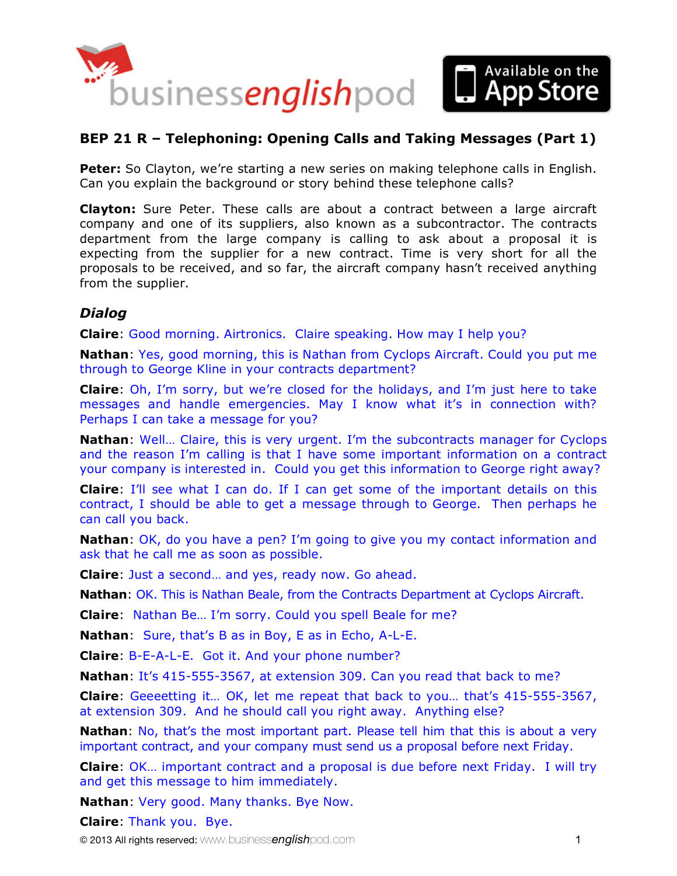

## **BEP 21 R – Telephoning: Opening Calls and Taking Messages (Part 1)**

**Peter:** So Clayton, we're starting a new series on making telephone calls in English. Can you explain the background or story behind these telephone calls?

**Clayton:** Sure Peter. These calls are about a contract between a large aircraft company and one of its suppliers, also known as a subcontractor. The contracts department from the large company is calling to ask about a proposal it is expecting from the supplier for a new contract. Time is very short for all the proposals to be received, and so far, the aircraft company hasn't received anything from the supplier.

## *Dialog*

**Claire**: Good morning. Airtronics. Claire speaking. How may I help you?

**Nathan**: Yes, good morning, this is Nathan from Cyclops Aircraft. Could you put me through to George Kline in your contracts department?

**Claire**: Oh, I'm sorry, but we're closed for the holidays, and I'm just here to take messages and handle emergencies. May I know what it's in connection with? Perhaps I can take a message for you?

**Nathan**: Well… Claire, this is very urgent. I'm the subcontracts manager for Cyclops and the reason I'm calling is that I have some important information on a contract your company is interested in. Could you get this information to George right away?

**Claire**: I'll see what I can do. If I can get some of the important details on this contract, I should be able to get a message through to George. Then perhaps he can call you back.

**Nathan**: OK, do you have a pen? I'm going to give you my contact information and ask that he call me as soon as possible.

**Claire**: Just a second… and yes, ready now. Go ahead.

**Nathan: OK. This is Nathan Beale, from the Contracts Department at Cyclops Aircraft.** 

**Claire**: Nathan Be… I'm sorry. Could you spell Beale for me?

**Nathan**: Sure, that's B as in Boy, E as in Echo, A-L-E.

**Claire**: B-E-A-L-E. Got it. And your phone number?

**Nathan**: It's 415-555-3567, at extension 309. Can you read that back to me?

**Claire**: Geeeetting it… OK, let me repeat that back to you… that's 415-555-3567, at extension 309. And he should call you right away. Anything else?

**Nathan:** No, that's the most important part. Please tell him that this is about a very important contract, and your company must send us a proposal before next Friday.

**Claire**: OK… important contract and a proposal is due before next Friday. I will try and get this message to him immediately.

**Nathan**: Very good. Many thanks. Bye Now.

**Claire**: Thank you. Bye.

© 2013 All rights reserved: www.business*english*pod.com 1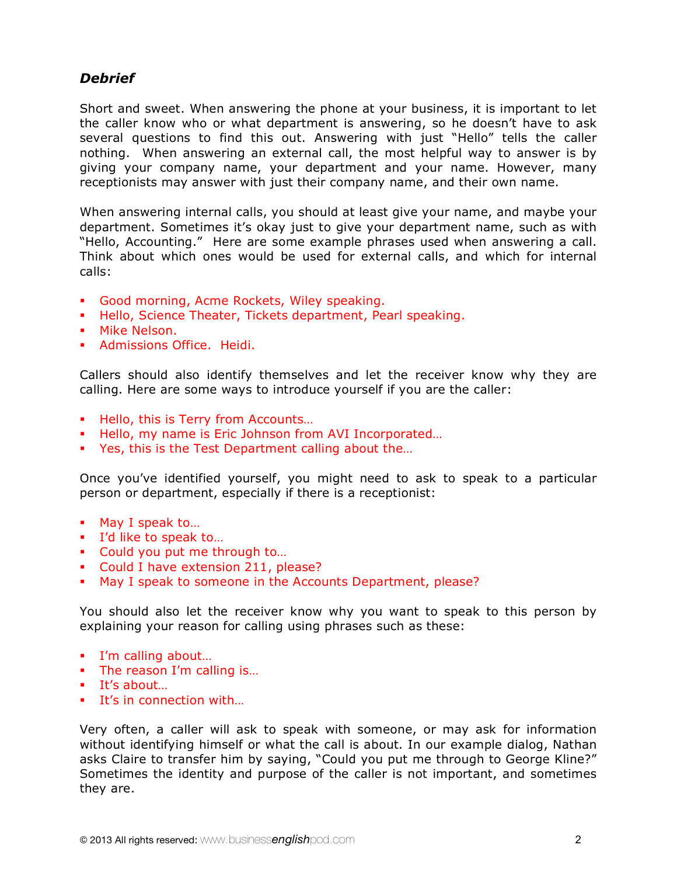## *Debrief*

Short and sweet. When answering the phone at your business, it is important to let the caller know who or what department is answering, so he doesn't have to ask several questions to find this out. Answering with just "Hello" tells the caller nothing. When answering an external call, the most helpful way to answer is by giving your company name, your department and your name. However, many receptionists may answer with just their company name, and their own name.

When answering internal calls, you should at least give your name, and maybe your department. Sometimes it's okay just to give your department name, such as with "Hello, Accounting." Here are some example phrases used when answering a call. Think about which ones would be used for external calls, and which for internal calls:

- Good morning, Acme Rockets, Wiley speaking.
- Hello, Science Theater, Tickets department, Pearl speaking.
- **Mike Nelson.**
- **Admissions Office.** Heidi.

Callers should also identify themselves and let the receiver know why they are calling. Here are some ways to introduce yourself if you are the caller:

- Hello, this is Terry from Accounts...
- Hello, my name is Eric Johnson from AVI Incorporated...
- Yes, this is the Test Department calling about the...

Once you've identified yourself, you might need to ask to speak to a particular person or department, especially if there is a receptionist:

- **May I speak to...**
- I'd like to speak to...
- Could you put me through to...
- Could I have extension 211, please?
- May I speak to someone in the Accounts Department, please?

You should also let the receiver know why you want to speak to this person by explaining your reason for calling using phrases such as these:

- I'm calling about...
- The reason I'm calling is...
- It's about...
- It's in connection with...

Very often, a caller will ask to speak with someone, or may ask for information without identifying himself or what the call is about. In our example dialog, Nathan asks Claire to transfer him by saying, "Could you put me through to George Kline?" Sometimes the identity and purpose of the caller is not important, and sometimes they are.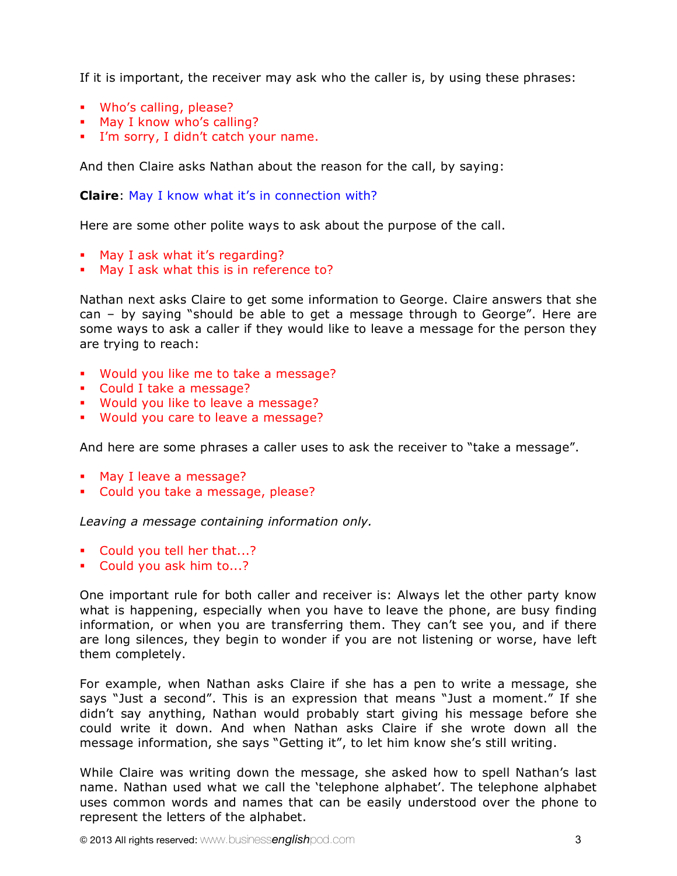If it is important, the receiver may ask who the caller is, by using these phrases:

- Who's calling, please?
- **May I know who's calling?**
- I'm sorry, I didn't catch your name.

And then Claire asks Nathan about the reason for the call, by saying:

## **Claire**: May I know what it's in connection with?

Here are some other polite ways to ask about the purpose of the call.

- May I ask what it's regarding?
- May I ask what this is in reference to?

Nathan next asks Claire to get some information to George. Claire answers that she can – by saying "should be able to get a message through to George". Here are some ways to ask a caller if they would like to leave a message for the person they are trying to reach:

- Would you like me to take a message?
- Could I take a message?
- **Would you like to leave a message?**
- Would you care to leave a message?

And here are some phrases a caller uses to ask the receiver to "take a message".

- **May I leave a message?**
- Could you take a message, please?

*Leaving a message containing information only.*

- Could you tell her that...?
- Could you ask him to...?

One important rule for both caller and receiver is: Always let the other party know what is happening, especially when you have to leave the phone, are busy finding information, or when you are transferring them. They can't see you, and if there are long silences, they begin to wonder if you are not listening or worse, have left them completely.

For example, when Nathan asks Claire if she has a pen to write a message, she says "Just a second". This is an expression that means "Just a moment." If she didn't say anything, Nathan would probably start giving his message before she could write it down. And when Nathan asks Claire if she wrote down all the message information, she says "Getting it", to let him know she's still writing.

While Claire was writing down the message, she asked how to spell Nathan's last name. Nathan used what we call the 'telephone alphabet'. The telephone alphabet uses common words and names that can be easily understood over the phone to represent the letters of the alphabet.